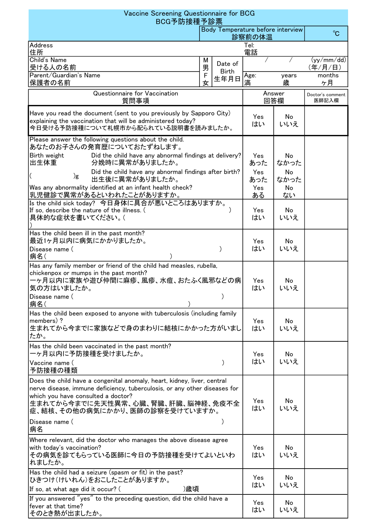| Vaccine Screening Questionnaire for BCG<br>BCG予防接種予診票                                                                                                                                                                                                                                          |                                             |                      |               |            |                           |  |  |
|------------------------------------------------------------------------------------------------------------------------------------------------------------------------------------------------------------------------------------------------------------------------------------------------|---------------------------------------------|----------------------|---------------|------------|---------------------------|--|--|
|                                                                                                                                                                                                                                                                                                | Body Temperature before interview<br>診察前の体温 |                      |               |            |                           |  |  |
| <b>Address</b><br>Tel:<br>電話<br>住所                                                                                                                                                                                                                                                             |                                             |                      |               |            |                           |  |  |
| Child's Name<br>受ける人の名前                                                                                                                                                                                                                                                                        | М<br>男                                      | Date of              |               |            | (yy/mm / dd)<br>(年/月/日)   |  |  |
| Parent/Guardian's Name<br>保護者の名前                                                                                                                                                                                                                                                               | 女                                           | <b>Birth</b><br>生年月日 | Age:<br>満     | years<br>歳 | months<br>ヶ月              |  |  |
| Questionnaire for Vaccination<br>質問事項                                                                                                                                                                                                                                                          |                                             |                      | Answer<br>回答欄 |            | Doctor's comment<br>医師記入欄 |  |  |
| Have you read the document (sent to you previously by Sapporo City)<br>explaining the vaccination that will be administered today?<br>今日受ける予防接種について札幌市から配られている説明書を読みましたか。                                                                                                                      |                                             |                      | Yes<br>はい     | No<br>いいえ  |                           |  |  |
| Please answer the following questions about the child.<br>あなたのお子さんの発育歴についておたずねします。                                                                                                                                                                                                             |                                             |                      |               |            |                           |  |  |
| Did the child have any abnormal findings at delivery?<br>Birth weight<br>出生体重<br>分娩時に異常がありましたか。                                                                                                                                                                                                |                                             |                      | Yes<br>あった    | No<br>なかった |                           |  |  |
| Did the child have any abnormal findings after birth?<br>)g<br>出生後に異常がありましたか。                                                                                                                                                                                                                  |                                             |                      | Yes<br>あった    | No<br>なかった |                           |  |  |
| Was any abnormality identified at an infant health check?<br>乳児健診で異常があるといわれたことがありますか。                                                                                                                                                                                                          |                                             |                      | Yes<br>ある     | No<br>ない   |                           |  |  |
| Is the child sick today? 今日身体に具合が悪いところはありますか。<br>If so, describe the nature of the illness. (<br>具体的な症状を書いてください。(                                                                                                                                                                              |                                             |                      | Yes<br>はい     | No<br>いいえ  |                           |  |  |
| Has the child been ill in the past month?<br>最近1ヶ月以内に病気にかかりましたか。                                                                                                                                                                                                                               |                                             |                      | Yes           | No         |                           |  |  |
| Disease name (<br>病名(                                                                                                                                                                                                                                                                          |                                             |                      | はい            | いいえ        |                           |  |  |
| Has any family member or friend of the child had measles, rubella,<br>chickenpox or mumps in the past month?<br>一ヶ月以内に家族や遊び仲間に麻疹、風疹、水痘、おたふく風邪などの病<br>気の方はいましたか。<br>Disease name (<br>病名(                                                                                                       |                                             |                      | Yes<br>はい     | No<br>いいえ  |                           |  |  |
| Has the child been exposed to anyone with tuberculosis (including family<br>members)?<br>生まれてから今までに家族などで身のまわりに結核にかかった方がいまし<br>たか。                                                                                                                                                              |                                             |                      | Yes<br>はい     | No<br>いいえ  |                           |  |  |
| Has the child been vaccinated in the past month?<br>ーヶ月以内に予防接種を受けましたか。<br>Vaccine name (                                                                                                                                                                                                       |                                             |                      | Yes<br>はい     | No<br>いいえ  |                           |  |  |
| 予防接種の種類<br>Does the child have a congenital anomaly, heart, kidney, liver, central<br>nerve disease, immune deficiency, tuberculosis, or any other diseases for<br>which you have consulted a doctor?<br>生まれてから今までに先天性異常、心臓、腎臓、肝臓、脳神経、免疫不全<br>症、結核、その他の病気にかかり、医師の診察を受けていますか。<br>Disease name ( |                                             |                      | Yes<br>はい     | No<br>いいえ  |                           |  |  |
| 病名<br>Where relevant, did the doctor who manages the above disease agree<br>with today's vaccination?<br>その病気を診てもらっている医師に今日の予防接種を受けてよいといわ<br>れましたか。                                                                                                                                            |                                             |                      | Yes<br>はい     | No<br>いいえ  |                           |  |  |
| Has the child had a seizure (spasm or fit) in the past?<br>ひきつけ(けいれん)をおこしたことがありますか。<br>)歳頃<br>If so, at what age did it occur? (                                                                                                                                                               |                                             |                      | Yes<br>はい     | No<br>いいえ  |                           |  |  |
| If you answered "yes" to the preceding question, did the child have a<br>fever at that time?<br> そのとき熱が出ましたか。                                                                                                                                                                                  |                                             |                      | Yes<br>はい     | No<br>いいえ  |                           |  |  |